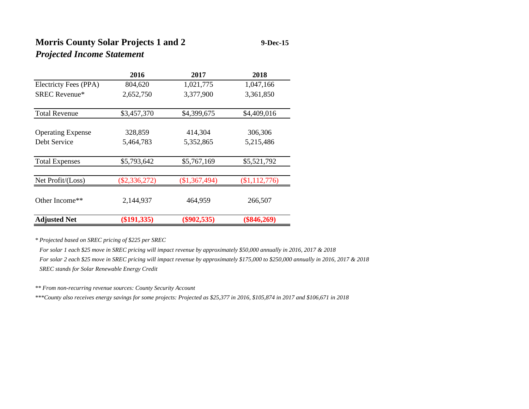## **Morris County Solar Projects 1 and 2 9-Dec-15** *Projected Income Statement*

|                          | 2016            | 2017          | 2018          |
|--------------------------|-----------------|---------------|---------------|
| Electricty Fees (PPA)    | 804,620         | 1,021,775     | 1,047,166     |
| <b>SREC Revenue*</b>     | 2,652,750       | 3,377,900     | 3,361,850     |
|                          |                 |               |               |
| <b>Total Revenue</b>     | \$3,457,370     | \$4,399,675   | \$4,409,016   |
|                          |                 |               |               |
| <b>Operating Expense</b> | 328,859         | 414,304       | 306,306       |
| Debt Service             | 5,464,783       | 5,352,865     | 5,215,486     |
|                          |                 |               |               |
| <b>Total Expenses</b>    | \$5,793,642     | \$5,767,169   | \$5,521,792   |
|                          |                 |               |               |
| Net Profit/(Loss)        | $(\$2,336,272)$ | (\$1,367,494) | \$1,112,776   |
|                          |                 |               |               |
| Other Income**           | 2,144,937       | 464,959       | 266,507       |
|                          |                 |               |               |
| <b>Adjusted Net</b>      | $(\$191,335)$   | $(\$902,535)$ | $(\$846,269)$ |

*\* Projected based on SREC pricing of \$225 per SREC*

 *For solar 1 each \$25 move in SREC pricing will impact revenue by approximately \$50,000 annually in 2016, 2017 & 2018 For solar 2 each \$25 move in SREC pricing will impact revenue by approximately \$175,000 to \$250,000 annually in 2016, 2017 & 2018 SREC stands for Solar Renewable Energy Credit*

*\*\* From non-recurring revenue sources: County Security Account*

*\*\*\*County also receives energy savings for some projects: Projected as \$25,377 in 2016, \$105,874 in 2017 and \$106,671 in 2018*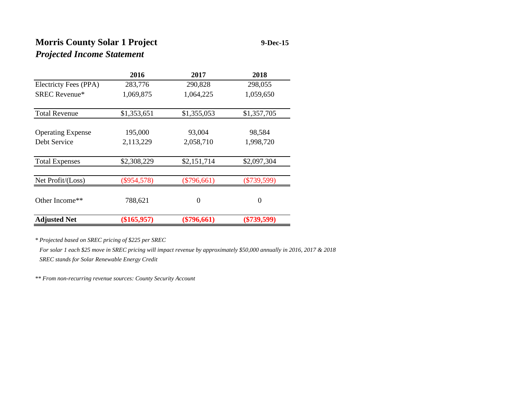# **Morris County Solar 1 Project 9-Dec-15** *Projected Income Statement*

|                          | 2016          | 2017          | 2018          |
|--------------------------|---------------|---------------|---------------|
| Electricty Fees (PPA)    | 283,776       | 290,828       | 298,055       |
| <b>SREC</b> Revenue*     | 1,069,875     | 1,064,225     | 1,059,650     |
| <b>Total Revenue</b>     | \$1,353,651   | \$1,355,053   | \$1,357,705   |
| <b>Operating Expense</b> | 195,000       | 93,004        | 98,584        |
| Debt Service             | 2,113,229     | 2,058,710     | 1,998,720     |
| <b>Total Expenses</b>    | \$2,308,229   | \$2,151,714   | \$2,097,304   |
| Net Profit/(Loss)        | $(\$954,578)$ | $(\$796,661)$ | $(\$739,599)$ |
| Other Income**           | 788,621       | $\theta$      | $\Omega$      |
| <b>Adjusted Net</b>      | $(\$165,957)$ | $(\$796,661)$ | $(\$739,599)$ |

*\* Projected based on SREC pricing of \$225 per SREC*

 *For solar 1 each \$25 move in SREC pricing will impact revenue by approximately \$50,000 annually in 2016, 2017 & 2018 SREC stands for Solar Renewable Energy Credit*

*\*\* From non-recurring revenue sources: County Security Account*